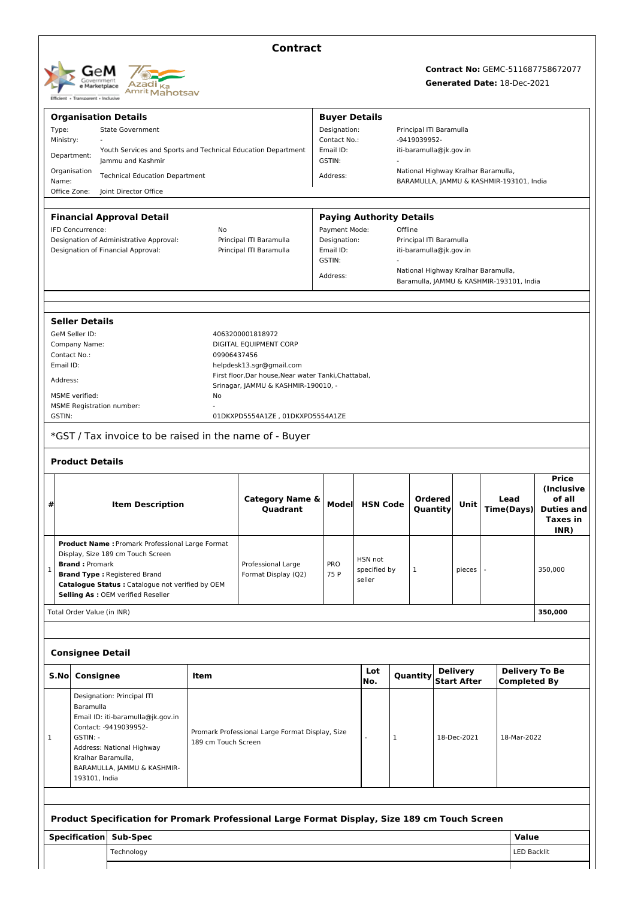| GeM<br>Government<br>e Marketplace<br>Transparent - Inclusive<br><b>Efficient +</b> | Azadi <sub>Ka</sub><br><sup>Amrit</sup> Mahotsav |
|-------------------------------------------------------------------------------------|--------------------------------------------------|
|-------------------------------------------------------------------------------------|--------------------------------------------------|

## **Contract**

# **Contract No:** GEMC-511687758672077 **Generated Date:** 18-Dec-2021

|              |                                                                                         | <b>Organisation Details</b>                                                                   |                     |                                                      | <b>Buyer Details</b>            |                 |   |                                     |                                       |        |                                          |                             |                                              |  |
|--------------|-----------------------------------------------------------------------------------------|-----------------------------------------------------------------------------------------------|---------------------|------------------------------------------------------|---------------------------------|-----------------|---|-------------------------------------|---------------------------------------|--------|------------------------------------------|-----------------------------|----------------------------------------------|--|
| Type:        | <b>State Government</b>                                                                 |                                                                                               |                     |                                                      |                                 | Designation:    |   |                                     | Principal ITI Baramulla               |        |                                          |                             |                                              |  |
| Ministry:    |                                                                                         |                                                                                               |                     |                                                      | Contact No.:                    |                 |   | -9419039952-                        |                                       |        |                                          |                             |                                              |  |
| Department:  |                                                                                         | Youth Services and Sports and Technical Education Department<br>lammu and Kashmir             |                     |                                                      | Email ID:<br>GSTIN:             |                 |   | iti-baramulla@jk.gov.in             |                                       |        |                                          |                             |                                              |  |
| Organisation |                                                                                         | <b>Technical Education Department</b>                                                         |                     |                                                      | Address:                        |                 |   | National Highway Kralhar Baramulla, |                                       |        |                                          |                             |                                              |  |
| Name:        |                                                                                         |                                                                                               |                     |                                                      |                                 |                 |   |                                     |                                       |        | BARAMULLA, JAMMU & KASHMIR-193101, India |                             |                                              |  |
| Office Zone: |                                                                                         | Joint Director Office                                                                         |                     |                                                      |                                 |                 |   |                                     |                                       |        |                                          |                             |                                              |  |
|              |                                                                                         | <b>Financial Approval Detail</b>                                                              |                     |                                                      | <b>Paying Authority Details</b> |                 |   |                                     |                                       |        |                                          |                             |                                              |  |
|              | <b>IFD Concurrence:</b>                                                                 |                                                                                               | No                  |                                                      | Payment Mode:                   |                 |   | Offline                             |                                       |        |                                          |                             |                                              |  |
|              |                                                                                         | Designation of Administrative Approval:                                                       |                     | Principal ITI Baramulla                              | Designation:                    |                 |   | Principal ITI Baramulla             |                                       |        |                                          |                             |                                              |  |
|              |                                                                                         | Designation of Financial Approval:                                                            |                     | Principal ITI Baramulla                              | Email ID:<br>GSTIN:             |                 |   |                                     | iti-baramulla@jk.gov.in               |        |                                          |                             |                                              |  |
|              |                                                                                         |                                                                                               |                     |                                                      |                                 |                 |   |                                     |                                       |        | National Highway Kralhar Baramulla,      |                             |                                              |  |
|              |                                                                                         |                                                                                               |                     |                                                      | Address:                        |                 |   |                                     |                                       |        | Baramulla, JAMMU & KASHMIR-193101, India |                             |                                              |  |
|              |                                                                                         |                                                                                               |                     |                                                      |                                 |                 |   |                                     |                                       |        |                                          |                             |                                              |  |
|              | <b>Seller Details</b>                                                                   |                                                                                               |                     |                                                      |                                 |                 |   |                                     |                                       |        |                                          |                             |                                              |  |
|              | GeM Seller ID:                                                                          |                                                                                               |                     | 4063200001818972                                     |                                 |                 |   |                                     |                                       |        |                                          |                             |                                              |  |
|              | Company Name:                                                                           |                                                                                               |                     | DIGITAL EQUIPMENT CORP                               |                                 |                 |   |                                     |                                       |        |                                          |                             |                                              |  |
| Contact No.: |                                                                                         |                                                                                               | 09906437456         |                                                      |                                 |                 |   |                                     |                                       |        |                                          |                             |                                              |  |
| Email ID:    |                                                                                         |                                                                                               |                     | helpdesk13.sgr@gmail.com                             |                                 |                 |   |                                     |                                       |        |                                          |                             |                                              |  |
| Address:     |                                                                                         |                                                                                               |                     | First floor, Dar house, Near water Tanki, Chattabal, |                                 |                 |   |                                     |                                       |        |                                          |                             |                                              |  |
|              | MSME verified:                                                                          |                                                                                               | No                  | Srinagar, JAMMU & KASHMIR-190010, -                  |                                 |                 |   |                                     |                                       |        |                                          |                             |                                              |  |
|              |                                                                                         | <b>MSME Registration number:</b>                                                              |                     |                                                      |                                 |                 |   |                                     |                                       |        |                                          |                             |                                              |  |
| GSTIN:       |                                                                                         |                                                                                               |                     | 01DKXPD5554A1ZE, 01DKXPD5554A1ZE                     |                                 |                 |   |                                     |                                       |        |                                          |                             |                                              |  |
|              |                                                                                         | *GST / Tax invoice to be raised in the name of - Buyer                                        |                     |                                                      |                                 |                 |   |                                     |                                       |        |                                          |                             |                                              |  |
|              | <b>Product Details</b>                                                                  |                                                                                               |                     |                                                      |                                 |                 |   |                                     |                                       |        |                                          |                             |                                              |  |
|              |                                                                                         |                                                                                               |                     |                                                      |                                 |                 |   |                                     |                                       |        |                                          |                             |                                              |  |
|              |                                                                                         |                                                                                               |                     |                                                      |                                 |                 |   |                                     |                                       |        |                                          |                             | <b>Price</b><br><b>(Inclusive</b>            |  |
|              |                                                                                         |                                                                                               |                     | Category Name &                                      |                                 |                 |   | <b>Ordered</b>                      |                                       |        | Lead                                     |                             | of all                                       |  |
| #            | <b>Item Description</b>                                                                 |                                                                                               | Quadrant            |                                                      | Model                           | <b>HSN Code</b> |   | Quantity                            | Unit                                  |        | <b>Time(Days)</b>                        |                             | <b>Duties and</b>                            |  |
|              |                                                                                         |                                                                                               |                     |                                                      |                                 |                 |   |                                     |                                       |        |                                          |                             | <b>Taxes in</b>                              |  |
|              |                                                                                         |                                                                                               |                     |                                                      |                                 |                 |   |                                     |                                       |        |                                          |                             | INR)                                         |  |
|              |                                                                                         | Product Name : Promark Professional Large Format                                              |                     |                                                      |                                 |                 |   |                                     |                                       |        |                                          |                             |                                              |  |
|              | <b>Brand: Promark</b>                                                                   | Display, Size 189 cm Touch Screen                                                             |                     |                                                      |                                 | HSN not         |   |                                     |                                       |        |                                          |                             |                                              |  |
| ı            |                                                                                         |                                                                                               |                     | Professional Large<br>Format Display (Q2)            | <b>PRO</b><br>75 P              | specified by    |   | 1                                   |                                       | pieces |                                          |                             | 350,000                                      |  |
|              | <b>Brand Type: Registered Brand</b><br>Catalogue Status : Catalogue not verified by OEM |                                                                                               |                     |                                                      |                                 | seller          |   |                                     |                                       |        |                                          |                             |                                              |  |
|              |                                                                                         | Selling As : OEM verified Reseller                                                            |                     |                                                      |                                 |                 |   |                                     |                                       |        |                                          |                             |                                              |  |
|              | Total Order Value (in INR)                                                              |                                                                                               |                     |                                                      |                                 |                 |   |                                     |                                       |        |                                          |                             | 350,000                                      |  |
|              |                                                                                         |                                                                                               |                     |                                                      |                                 |                 |   |                                     |                                       |        |                                          |                             |                                              |  |
|              |                                                                                         |                                                                                               |                     |                                                      |                                 |                 |   |                                     |                                       |        |                                          |                             |                                              |  |
|              | <b>Consignee Detail</b>                                                                 |                                                                                               |                     |                                                      |                                 |                 |   |                                     |                                       |        |                                          |                             |                                              |  |
| S.No         | Consignee                                                                               |                                                                                               | Item                |                                                      |                                 | Lot<br>No.      |   | Quantity                            | <b>Delivery</b><br><b>Start After</b> |        |                                          |                             | <b>Delivery To Be</b><br><b>Completed By</b> |  |
|              |                                                                                         | Designation: Principal ITI                                                                    |                     |                                                      |                                 |                 |   |                                     |                                       |        |                                          |                             |                                              |  |
|              | Baramulla                                                                               |                                                                                               |                     |                                                      |                                 |                 |   |                                     |                                       |        |                                          |                             |                                              |  |
|              |                                                                                         | Email ID: iti-baramulla@jk.gov.in                                                             |                     |                                                      |                                 |                 |   |                                     |                                       |        |                                          |                             |                                              |  |
|              |                                                                                         | Contact: -9419039952-                                                                         |                     | Promark Professional Large Format Display, Size      |                                 |                 |   |                                     |                                       |        |                                          |                             |                                              |  |
| 1            | GSTIN: -                                                                                |                                                                                               | 189 cm Touch Screen |                                                      |                                 |                 | 1 |                                     | 18-Dec-2021                           |        |                                          | 18-Mar-2022                 |                                              |  |
|              | Kralhar Baramulla,                                                                      | Address: National Highway                                                                     |                     |                                                      |                                 |                 |   |                                     |                                       |        |                                          |                             |                                              |  |
|              |                                                                                         | BARAMULLA, JAMMU & KASHMIR-                                                                   |                     |                                                      |                                 |                 |   |                                     |                                       |        |                                          |                             |                                              |  |
|              | 193101, India                                                                           |                                                                                               |                     |                                                      |                                 |                 |   |                                     |                                       |        |                                          |                             |                                              |  |
|              |                                                                                         |                                                                                               |                     |                                                      |                                 |                 |   |                                     |                                       |        |                                          |                             |                                              |  |
|              |                                                                                         |                                                                                               |                     |                                                      |                                 |                 |   |                                     |                                       |        |                                          |                             |                                              |  |
|              |                                                                                         |                                                                                               |                     |                                                      |                                 |                 |   |                                     |                                       |        |                                          |                             |                                              |  |
|              |                                                                                         | Product Specification for Promark Professional Large Format Display, Size 189 cm Touch Screen |                     |                                                      |                                 |                 |   |                                     |                                       |        |                                          |                             |                                              |  |
|              | <b>Specification</b>                                                                    | <b>Sub-Spec</b><br>Technology                                                                 |                     |                                                      |                                 |                 |   |                                     |                                       |        |                                          | Value<br><b>LED Backlit</b> |                                              |  |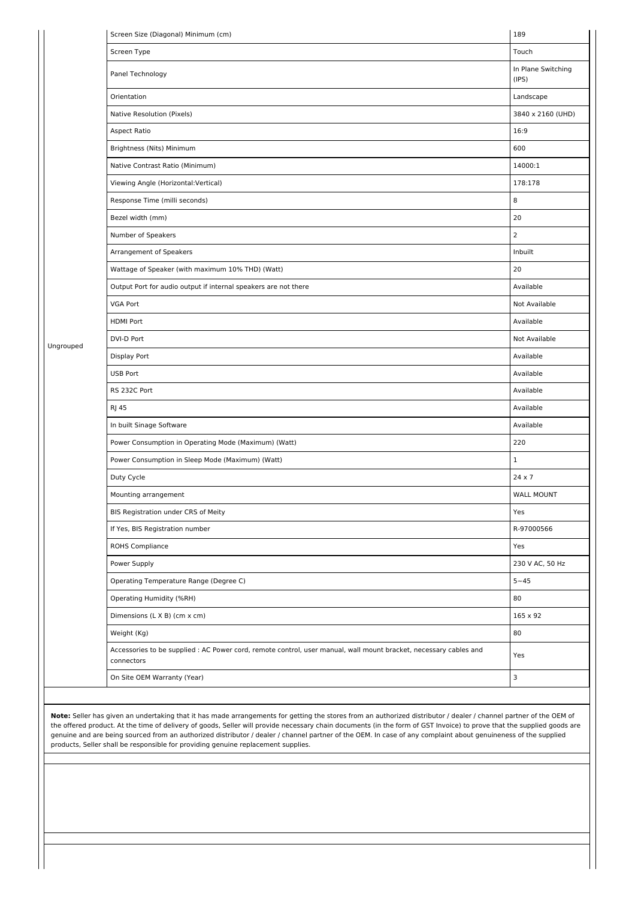|           | Screen Size (Diagonal) Minimum (cm)                                                                                                                                                                                                                                                                                                                                                                                                                                                                                                                                                                 | 189                         |
|-----------|-----------------------------------------------------------------------------------------------------------------------------------------------------------------------------------------------------------------------------------------------------------------------------------------------------------------------------------------------------------------------------------------------------------------------------------------------------------------------------------------------------------------------------------------------------------------------------------------------------|-----------------------------|
|           | Screen Type                                                                                                                                                                                                                                                                                                                                                                                                                                                                                                                                                                                         | Touch                       |
|           | Panel Technology                                                                                                                                                                                                                                                                                                                                                                                                                                                                                                                                                                                    | In Plane Switching<br>(IPS) |
|           | Orientation                                                                                                                                                                                                                                                                                                                                                                                                                                                                                                                                                                                         | Landscape                   |
|           | Native Resolution (Pixels)                                                                                                                                                                                                                                                                                                                                                                                                                                                                                                                                                                          | 3840 x 2160 (UHD)           |
|           | Aspect Ratio                                                                                                                                                                                                                                                                                                                                                                                                                                                                                                                                                                                        | 16:9                        |
|           | Brightness (Nits) Minimum                                                                                                                                                                                                                                                                                                                                                                                                                                                                                                                                                                           | 600                         |
|           | Native Contrast Ratio (Minimum)                                                                                                                                                                                                                                                                                                                                                                                                                                                                                                                                                                     | 14000:1                     |
|           | Viewing Angle (Horizontal: Vertical)                                                                                                                                                                                                                                                                                                                                                                                                                                                                                                                                                                | 178:178                     |
|           | Response Time (milli seconds)                                                                                                                                                                                                                                                                                                                                                                                                                                                                                                                                                                       | 8                           |
|           | Bezel width (mm)                                                                                                                                                                                                                                                                                                                                                                                                                                                                                                                                                                                    | 20                          |
|           | Number of Speakers                                                                                                                                                                                                                                                                                                                                                                                                                                                                                                                                                                                  | 2                           |
|           | Arrangement of Speakers                                                                                                                                                                                                                                                                                                                                                                                                                                                                                                                                                                             | Inbuilt                     |
|           | Wattage of Speaker (with maximum 10% THD) (Watt)                                                                                                                                                                                                                                                                                                                                                                                                                                                                                                                                                    | 20                          |
|           | Output Port for audio output if internal speakers are not there                                                                                                                                                                                                                                                                                                                                                                                                                                                                                                                                     | Available                   |
|           | <b>VGA Port</b>                                                                                                                                                                                                                                                                                                                                                                                                                                                                                                                                                                                     | Not Available               |
|           | <b>HDMI Port</b>                                                                                                                                                                                                                                                                                                                                                                                                                                                                                                                                                                                    | Available                   |
| Ungrouped | DVI-D Port                                                                                                                                                                                                                                                                                                                                                                                                                                                                                                                                                                                          | Not Available               |
|           | Display Port                                                                                                                                                                                                                                                                                                                                                                                                                                                                                                                                                                                        | Available                   |
|           | <b>USB Port</b>                                                                                                                                                                                                                                                                                                                                                                                                                                                                                                                                                                                     | Available                   |
|           | RS 232C Port                                                                                                                                                                                                                                                                                                                                                                                                                                                                                                                                                                                        | Available                   |
|           | <b>RJ 45</b>                                                                                                                                                                                                                                                                                                                                                                                                                                                                                                                                                                                        | Available                   |
|           | In built Sinage Software                                                                                                                                                                                                                                                                                                                                                                                                                                                                                                                                                                            | Available                   |
|           | Power Consumption in Operating Mode (Maximum) (Watt)                                                                                                                                                                                                                                                                                                                                                                                                                                                                                                                                                | 220                         |
|           | Power Consumption in Sleep Mode (Maximum) (Watt)                                                                                                                                                                                                                                                                                                                                                                                                                                                                                                                                                    | $\mathbf 1$                 |
|           | Duty Cycle                                                                                                                                                                                                                                                                                                                                                                                                                                                                                                                                                                                          | 24 x 7                      |
|           | Mounting arrangement                                                                                                                                                                                                                                                                                                                                                                                                                                                                                                                                                                                | <b>WALL MOUNT</b>           |
|           | BIS Registration under CRS of Meity                                                                                                                                                                                                                                                                                                                                                                                                                                                                                                                                                                 | Yes                         |
|           | If Yes, BIS Registration number                                                                                                                                                                                                                                                                                                                                                                                                                                                                                                                                                                     | R-97000566                  |
|           | ROHS Compliance                                                                                                                                                                                                                                                                                                                                                                                                                                                                                                                                                                                     | Yes                         |
|           | Power Supply                                                                                                                                                                                                                                                                                                                                                                                                                                                                                                                                                                                        | 230 V AC, 50 Hz             |
|           | Operating Temperature Range (Degree C)                                                                                                                                                                                                                                                                                                                                                                                                                                                                                                                                                              | $5 - 45$                    |
|           | Operating Humidity (%RH)                                                                                                                                                                                                                                                                                                                                                                                                                                                                                                                                                                            | 80                          |
|           | Dimensions (L X B) (cm x cm)                                                                                                                                                                                                                                                                                                                                                                                                                                                                                                                                                                        | $165 \times 92$             |
|           | Weight (Kg)                                                                                                                                                                                                                                                                                                                                                                                                                                                                                                                                                                                         | 80                          |
|           | Accessories to be supplied : AC Power cord, remote control, user manual, wall mount bracket, necessary cables and<br>connectors                                                                                                                                                                                                                                                                                                                                                                                                                                                                     | Yes                         |
|           | On Site OEM Warranty (Year)                                                                                                                                                                                                                                                                                                                                                                                                                                                                                                                                                                         | 3                           |
|           | Note: Seller has given an undertaking that it has made arrangements for getting the stores from an authorized distributor / dealer / channel partner of the OEM of<br>the offered product. At the time of delivery of goods, Seller will provide necessary chain documents (in the form of GST Invoice) to prove that the supplied goods are<br>genuine and are being sourced from an authorized distributor / dealer / channel partner of the OEM. In case of any complaint about genuineness of the supplied<br>products, Seller shall be responsible for providing genuine replacement supplies. |                             |
|           |                                                                                                                                                                                                                                                                                                                                                                                                                                                                                                                                                                                                     |                             |